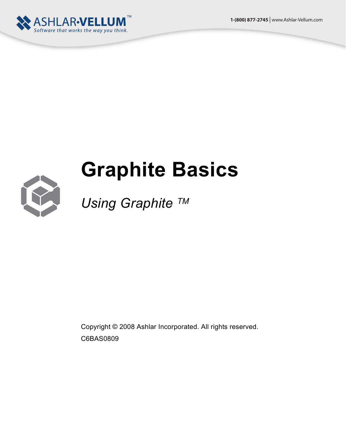**1-(800) 877-2745** | www.Ashlar-Vellum.com



# **Graphite Basics**



# *Using Graphite TM*

Copyright © 2008 Ashlar Incorporated. All rights reserved. C6BAS0809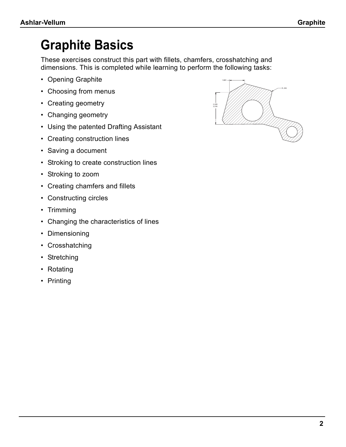# **Graphite Basics**

These exercises construct this part with fillets, chamfers, crosshatching and dimensions. This is completed while learning to perform the following tasks:

- Opening Graphite
- Choosing from menus
- Creating geometry
- Changing geometry
- Using the patented Drafting Assistant
- Creating construction lines
- Saving a document
- Stroking to create construction lines
- Stroking to zoom
- Creating chamfers and fillets
- Constructing circles
- Trimming
- Changing the characteristics of lines
- Dimensioning
- Crosshatching
- Stretching
- Rotating
- Printing

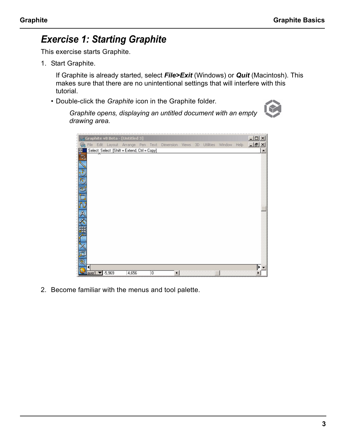# *Exercise 1: Starting Graphite*

This exercise starts Graphite.

1. Start Graphite.

If Graphite is already started, select *File>Exit* (Windows) or *Quit* (Macintosh). This makes sure that there are no unintentional settings that will interfere with this tutorial.

• Double-click the *Graphite* icon in the Graphite folder.



*Graphite opens, displaying an untitled document with an empty drawing area.*

|   |         |          | Graphite v8 Beta - [Untitled 3]              |   |                                                      |  |           |             | $ \Box$ $\times$ |
|---|---------|----------|----------------------------------------------|---|------------------------------------------------------|--|-----------|-------------|------------------|
|   |         |          |                                              |   | File Edit Layout Arrange Pen Text Dimension Views 3D |  | Utilities | Window Help | $-15 \times$     |
|   |         |          | Select: Select [Shift = Extend, Ctrl = Copy] |   |                                                      |  |           |             |                  |
|   |         |          |                                              |   |                                                      |  |           |             |                  |
|   |         |          |                                              |   |                                                      |  |           |             |                  |
| М |         |          |                                              |   |                                                      |  |           |             |                  |
|   |         |          |                                              |   |                                                      |  |           |             |                  |
|   |         |          |                                              |   |                                                      |  |           |             |                  |
|   |         |          |                                              |   |                                                      |  |           |             |                  |
|   |         |          |                                              |   |                                                      |  |           |             |                  |
|   |         |          |                                              |   |                                                      |  |           |             |                  |
|   |         |          |                                              |   |                                                      |  |           |             |                  |
|   |         |          |                                              |   |                                                      |  |           |             |                  |
|   |         |          |                                              |   |                                                      |  |           |             |                  |
|   |         |          |                                              |   |                                                      |  |           |             |                  |
|   |         |          |                                              |   |                                                      |  |           |             |                  |
|   |         |          |                                              |   |                                                      |  |           |             |                  |
|   | $aver1$ | $-5,969$ | 4,656                                        | O | ◂                                                    |  |           |             |                  |

2. Become familiar with the menus and tool palette.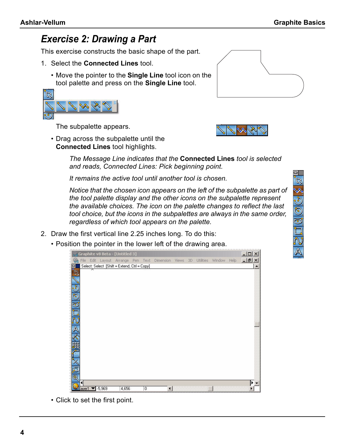# *Exercise 2: Drawing a Part*

This exercise constructs the basic shape of the part.

- 1. Select the **Connected Lines** tool.
	- Move the pointer to the **Single Line** tool icon on the tool palette and press on the **Single Line** tool.



The subpalette appears.

• Drag across the subpalette until the **Connected Lines** tool highlights.

> *The Message Line indicates that the* **Connected Lines** *tool is selected and reads, Connected Lines: Pick beginning point.*

*It remains the active tool until another tool is chosen.* 

*Notice that the chosen icon appears on the left of the subpalette as part of the tool palette display and the other icons on the subpalette represent the available choices. The icon on the palette changes to reflect the last tool choice, but the icons in the subpalettes are always in the same order, regardless of which tool appears on the palette.*

- 2. Draw the first vertical line 2.25 inches long. To do this:
	- Position the pointer in the lower left of the drawing area.



• Click to set the first point.





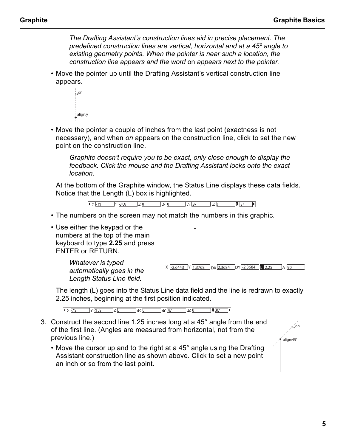*The Drafting Assistant's construction lines aid in precise placement. The predefined construction lines are vertical, horizontal and at a 45º angle to existing geometry points. When the pointer is near such a location, the construction line appears and the word* on *appears next to the pointer.*

• Move the pointer up until the Drafting Assistant's vertical construction line appears.

| $*_{+}$ on |
|------------|
|            |
|            |
|            |
|            |
|            |
|            |
|            |
|            |
| align:y    |
|            |
|            |
|            |

• Move the pointer a couple of inches from the last point (exactness is not necessary), and when *on* appears on the construction line, click to set the new point on the construction line.

*Graphite doesn't require you to be exact, only close enough to display the feedback. Click the mouse and the Drafting Assistant locks onto the exact location.* 

At the bottom of the Graphite window, the Status Line displays these data fields. Notice that the Length (L) box is highlighted.

> $\sqrt{2 \times 113}$  $\sqrt{2}$   $\sqrt{3.08}$   $\sqrt{2}$   $\sqrt{0}$  $\exists \& 0$  $\sqrt{67}$  $\neg$   $\alpha$   $\overline{0}$  $\boxed{\blacksquare$  67

- The numbers on the screen may not match the numbers in this graphic.
- Use either the keypad or the numbers at the top of the main keyboard to type **2.25** and press ENTER or RETURN.

*Whatever is typed automatically goes in the Length Status Line field.*

 $X$  -2.6443 Y 1.3768 DX 2.3684 DY -2.3684 L 2.25 A 90

The length (L) goes into the Status Line data field and the line is redrawn to exactly 2.25 inches, beginning at the first position indicated.

 $\sqrt{2 \times 13}$   $\sqrt{3.08}$   $\sqrt{20}$  $\sqrt{67}$  $\overline{\phantom{a}}$  ax  $\overline{\phantom{a}}$  $\neg$   $\neg$   $\Box$  $\Box$  67

- 3. Construct the second line 1.25 inches long at a 45° angle from the end of the first line. (Angles are measured from horizontal, not from the previous line.)
	- Move the cursor up and to the right at a 45° angle using the Drafting Assistant construction line as shown above. Click to set a new point an inch or so from the last point.

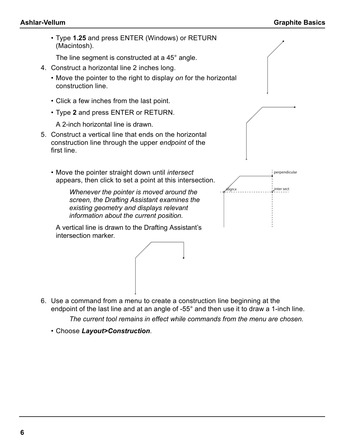• Type **1.25** and press ENTER (Windows) or RETURN (Macintosh).

The line segment is constructed at a 45° angle.

- 4. Construct a horizontal line 2 inches long.
	- Move the pointer to the right to display *on* for the horizontal construction line.
	- Click a few inches from the last point.
	- Type **2** and press ENTER or RETURN.

A 2-inch horizontal line is drawn.

- 5. Construct a vertical line that ends on the horizontal construction line through the upper *endpoint* of the first line.
	- Move the pointer straight down until *intersect* appears, then click to set a point at this intersection.

*Whenever the pointer is moved around the screen, the Drafting Assistant examines the existing geometry and displays relevant information about the current position.*

A vertical line is drawn to the Drafting Assistant's intersection marker.





6. Use a command from a menu to create a construction line beginning at the endpoint of the last line and at an angle of -55° and then use it to draw a 1-inch line.

*The current tool remains in effect while commands from the menu are chosen.*

• Choose *Layout>Construction*.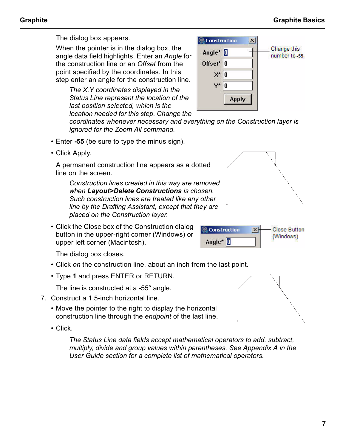Change this

number to -55

The dialog box appears.

When the pointer is in the dialog box, the angle data field highlights. Enter an *Angle* for the construction line or an *Offset* from the point specified by the coordinates. In this step enter an angle for the construction line.

*The X,Y coordinates displayed in the Status Line represent the location of the last position selected, which is the location needed for this step. Change the* 

*coordinates whenever necessary and everything on the Construction layer is ignored for the Zoom All command.*

C. Construction

Angle<sup>\*</sup>  $\Box$ 

Offset<sup>\*</sup>  $\vert$ 0

 $X^*|0$ 

**Apply** 

Y\* 10  $\vert x \vert$ 

- Enter **-55** (be sure to type the minus sign).
- Click Apply.

A permanent construction line appears as a dotted line on the screen.

*Construction lines created in this way are removed when Layout>Delete Constructions is chosen. Such construction lines are treated like any other line by the Drafting Assistant, except that they are placed on the Construction layer.*

• Click the Close box of the Construction dialog button in the upper-right corner (Windows) or upper left corner (Macintosh).

The dialog box closes.

- Click *on* the construction line, about an inch from the last point.
- Type **1** and press ENTER or RETURN.

The line is constructed at a -55° angle.

- 7. Construct a 1.5-inch horizontal line.
	- Move the pointer to the right to display the horizontal construction line through the *endpoint* of the last line.
	- Click.

*The Status Line data fields accept mathematical operators to add, subtract, multiply, divide and group values within parentheses. See Appendix A in the User Guide section for a complete list of mathematical operators.*





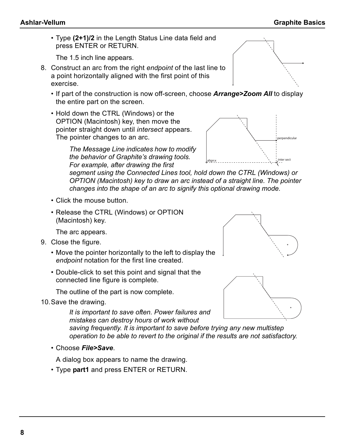• Type **(2+1)/2** in the Length Status Line data field and press ENTER or RETURN.

The 1.5 inch line appears.

- 8. Construct an arc from the right *endpoint* of the last line to a point horizontally aligned with the first point of this exercise.
	- If part of the construction is now off-screen, choose *Arrange>Zoom All* to display the entire part on the screen.
	- Hold down the CTRL (Windows) or the OPTION (Macintosh) key, then move the pointer straight down until *intersect* appears. The pointer changes to an arc.



*The Message Line indicates how to modify the behavior of Graphite's drawing tools. For example, after drawing the first* 

*segment using the Connected Lines tool, hold down the CTRL (Windows) or OPTION (Macintosh) key to draw an arc instead of a straight line. The pointer changes into the shape of an arc to signify this optional drawing mode.*

- Click the mouse button.
- Release the CTRL (Windows) or OPTION (Macintosh) key.

The arc appears.

- 9. Close the figure.
	- Move the pointer horizontally to the left to display the *endpoint* notation for the first line created.
	- Double-click to set this point and signal that the connected line figure is complete.

The outline of the part is now complete.

10.Save the drawing.

*It is important to save often. Power failures and mistakes can destroy hours of work without* 

*saving frequently. It is important to save before trying any new multistep operation to be able to revert to the original if the results are not satisfactory.*

• Choose *File>Save*.

A dialog box appears to name the drawing.

• Type **part1** and press ENTER or RETURN.



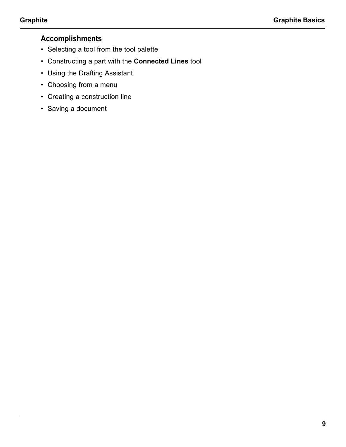- Selecting a tool from the tool palette
- Constructing a part with the **Connected Lines** tool
- Using the Drafting Assistant
- Choosing from a menu
- Creating a construction line
- Saving a document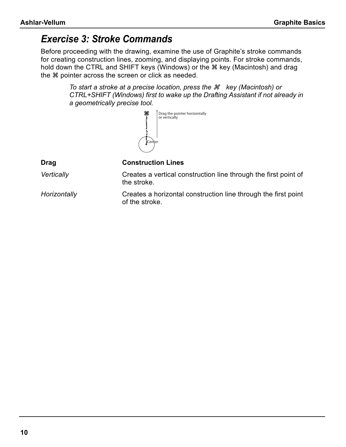# *Exercise 3: Stroke Commands*

Before proceeding with the drawing, examine the use of Graphite's stroke commands for creating construction lines, zooming, and displaying points. For stroke commands, hold down the CTRL and SHIFT keys (Windows) or the  $*$  key (Macintosh) and drag the  $*$  pointer across the screen or click as needed.

> *To start a stroke at a precise location, press the*  $\mathcal{H}$  *key (Macintosh) or CTRL+SHIFT (Windows) first to wake up the Drafting Assistant if not already in a geometrically precise tool.*



**Drag Construction Lines**

*Vertically* Creates a vertical construction line through the first point of the stroke.

*Horizontally* Creates a horizontal construction line through the first point of the stroke.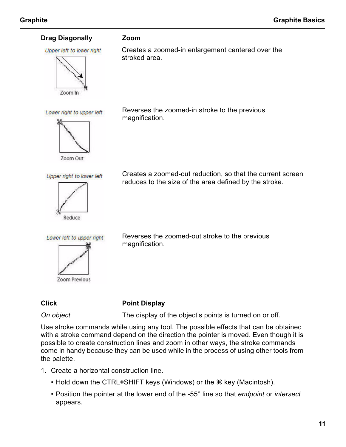#### **Drag Diagonally Zoom**

Upper left to lower right



Lower right to upper left



Reverses the zoomed-in stroke to the previous magnification.

Creates a zoomed-in enlargement centered over the

Upper right to lower left



Creates a zoomed-out reduction, so that the current screen reduces to the size of the area defined by the stroke.

Lower left to upper right

Zoom Previous

Reverses the zoomed-out stroke to the previous magnification.

#### **Click Point Display**

stroked area.

**On object** The display of the object's points is turned on or off.

Use stroke commands while using any tool. The possible effects that can be obtained with a stroke command depend on the direction the pointer is moved. Even though it is possible to create construction lines and zoom in other ways, the stroke commands come in handy because they can be used while in the process of using other tools from the palette.

- 1. Create a horizontal construction line.
	- Hold down the CTRL+SHIFT keys (Windows) or the  $\frac{1}{2}$  key (Macintosh).
	- Position the pointer at the lower end of the -55° line so that *endpoint* or *intersect* appears.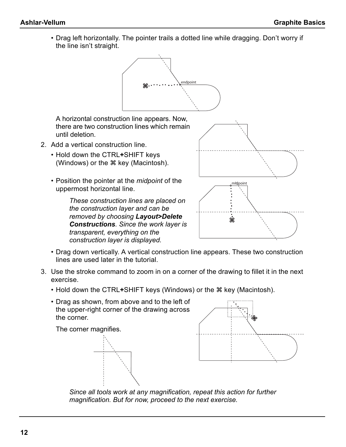• Drag left horizontally. The pointer trails a dotted line while dragging. Don't worry if the line isn't straight.



A horizontal construction line appears. Now, there are two construction lines which remain until deletion.

- 2. Add a vertical construction line.
	- Hold down the CTRL**+**SHIFT keys (Windows) or the  $*$  key (Macintosh).
	- Position the pointer at the *midpoint* of the uppermost horizontal line.

*These construction lines are placed on the construction layer and can be removed by choosing Layout>Delete Constructions. Since the work layer is transparent, everything on the construction layer is displayed.*



- Drag down vertically. A vertical construction line appears. These two construction lines are used later in the tutorial.
- 3. Use the stroke command to zoom in on a corner of the drawing to fillet it in the next exercise.
	- Hold down the CTRL+SHIFT keys (Windows) or the  $\frac{1}{2}$  key (Macintosh).
	- Drag as shown, from above and to the left of the upper-right corner of the drawing across the corner.

The corner magnifies.





*Since all tools work at any magnification, repeat this action for further magnification. But for now, proceed to the next exercise.*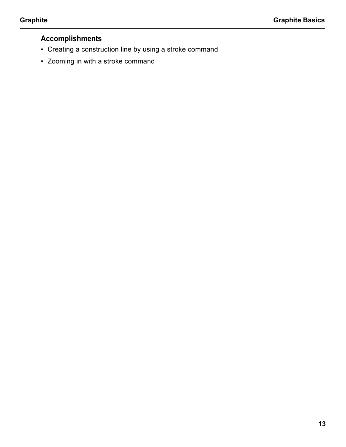- Creating a construction line by using a stroke command
- Zooming in with a stroke command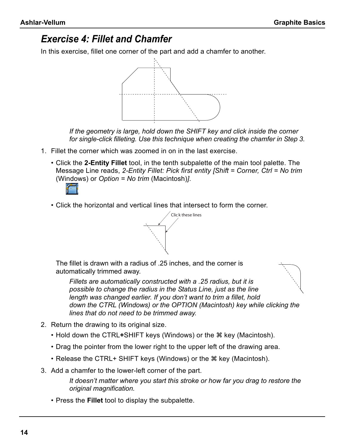# *Exercise 4: Fillet and Chamfer*

In this exercise, fillet one corner of the part and add a chamfer to another.



*If the geometry is large, hold down the SHIFT key and click inside the corner for single-click filleting. Use this technique when creating the chamfer in Step 3.*

- 1. Fillet the corner which was zoomed in on in the last exercise.
	- Click the **2-Entity Fillet** tool, in the tenth subpalette of the main tool palette. The Message Line reads, *2-Entity Fillet: Pick first entity [Shift = Corner, Ctrl = No trim* (Windows) or *Option = No trim* (Macintosh)*]*.



• Click the horizontal and vertical lines that intersect to form the corner.



The fillet is drawn with a radius of .25 inches, and the corner is automatically trimmed away.

*Fillets are automatically constructed with a .25 radius, but it is possible to change the radius in the Status Line, just as the line length was changed earlier. If you don't want to trim a fillet, hold down the CTRL (Windows) or the OPTION (Macintosh) key while clicking the lines that do not need to be trimmed away.*

- 2. Return the drawing to its original size.
	- Hold down the CTRL+SHIFT keys (Windows) or the  $*$  key (Macintosh).
	- Drag the pointer from the lower right to the upper left of the drawing area.
	- Release the CTRL+ SHIFT keys (Windows) or the  $\#$  key (Macintosh).
- 3. Add a chamfer to the lower-left corner of the part.

*It doesn't matter where you start this stroke or how far you drag to restore the original magnification.*

• Press the **Fillet** tool to display the subpalette.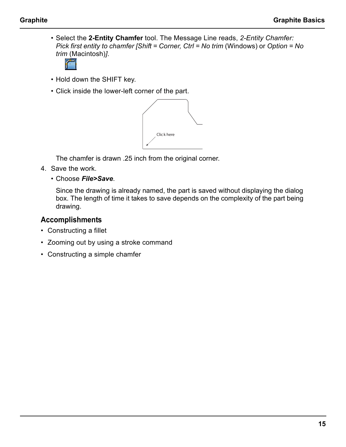• Select the **2-Entity Chamfer** tool. The Message Line reads, *2-Entity Chamfer: Pick first entity to chamfer [Shift = Corner, Ctrl = No trim* (Windows) or *Option = No trim* (Macintosh)*]*.



- Hold down the SHIFT key.
- Click inside the lower-left corner of the part.



The chamfer is drawn .25 inch from the original corner.

- 4. Save the work.
	- Choose *File>Save*.

Since the drawing is already named, the part is saved without displaying the dialog box. The length of time it takes to save depends on the complexity of the part being drawing.

- Constructing a fillet
- Zooming out by using a stroke command
- Constructing a simple chamfer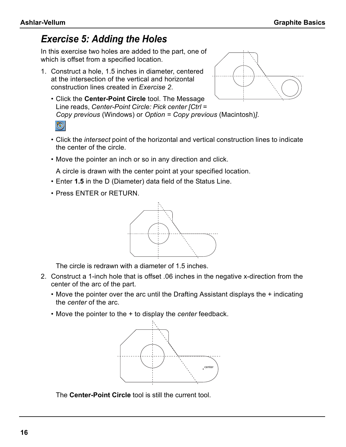# *Exercise 5: Adding the Holes*

In this exercise two holes are added to the part, one of which is offset from a specified location.

- 1. Construct a hole, 1.5 inches in diameter, centered at the intersection of the vertical and horizontal construction lines created in *Exercise 2*.
	- Click the **Center-Point Circle** tool. The Message Line reads, *Center-Point Circle: Pick center [Ctrl = Copy previous* (Windows) or *Option = Copy previous* (Macintosh)*]*.  $\circledcirc$



- Click the *intersect* point of the horizontal and vertical construction lines to indicate the center of the circle.
- Move the pointer an inch or so in any direction and click.

A circle is drawn with the center point at your specified location.

- Enter **1.5** in the D (Diameter) data field of the Status Line.
- Press ENTER or RETURN.



The circle is redrawn with a diameter of 1.5 inches.

- 2. Construct a 1-inch hole that is offset .06 inches in the negative x-direction from the center of the arc of the part.
	- Move the pointer over the arc until the Drafting Assistant displays the + indicating the *center* of the arc.
	- Move the pointer to the + to display the *center* feedback.



The **Center-Point Circle** tool is still the current tool.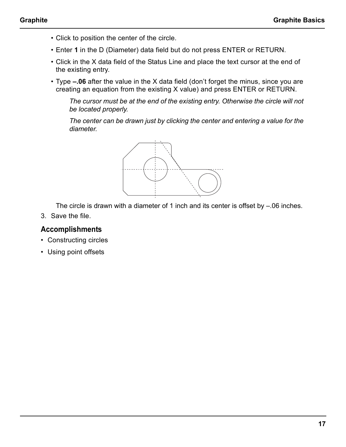- Click to position the center of the circle.
- Enter **1** in the D (Diameter) data field but do not press ENTER or RETURN.
- Click in the X data field of the Status Line and place the text cursor at the end of the existing entry.
- Type **–.06** after the value in the X data field (don't forget the minus, since you are creating an equation from the existing X value) and press ENTER or RETURN.

*The cursor must be at the end of the existing entry. Otherwise the circle will not be located properly.*

*The center can be drawn just by clicking the center and entering a value for the diameter.*



The circle is drawn with a diameter of 1 inch and its center is offset by –.06 inches.

3. Save the file.

- Constructing circles
- Using point offsets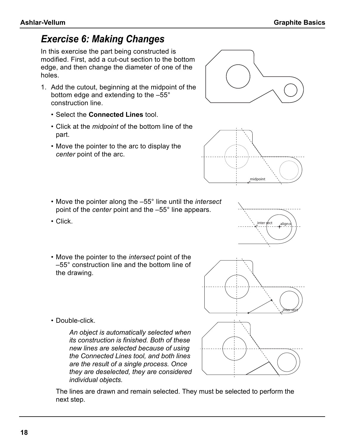# *Exercise 6: Making Changes*

In this exercise the part being constructed is modified. First, add a cut-out section to the bottom edge, and then change the diameter of one of the holes.

- 1. Add the cutout, beginning at the midpoint of the bottom edge and extending to the –55° construction line.
	- Select the **Connected Lines** tool.
	- Click at the *midpoint* of the bottom line of the part.
	- Move the pointer to the arc to display the *center* point of the arc.
	- Move the pointer along the –55° line until the *intersect* point of the *center* point and the –55° line appears.
	- Click.
	- Move the pointer to the *intersect* point of the –55° construction line and the bottom line of the drawing.
	- Double-click.

*An object is automatically selected when its construction is finished. Both of these new lines are selected because of using the Connected Lines tool, and both lines are the result of a single process. Once they are deselected, they are considered individual objects.*

The lines are drawn and remain selected. They must be selected to perform the next step.







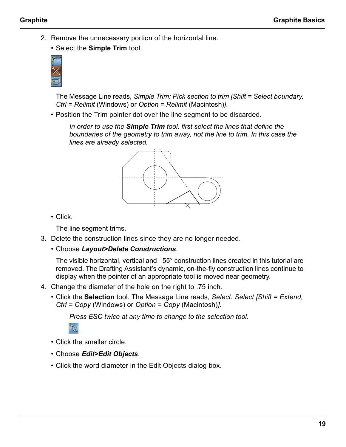2. Remove the unnecessary portion of the horizontal line.

• Select the **Simple Trim** tool.



The Message Line reads, *Simple Trim: Pick section to trim [Shift = Select boundary, Ctrl = Relimit* (Windows) or *Option = Relimit* (Macintosh)*]*.

• Position the Trim pointer dot over the line segment to be discarded.

*In order to use the Simple Trim tool, first select the lines that define the boundaries of the geometry to trim away, not the line to trim. In this case the lines are already selected.*



• Click.

The line segment trims.

- 3. Delete the construction lines since they are no longer needed.
	- Choose *Layout>Delete Constructions*.

The visible horizontal, vertical and –55° construction lines created in this tutorial are removed. The Drafting Assistant's dynamic, on-the-fly construction lines continue to display when the pointer of an appropriate tool is moved near geometry.

- 4. Change the diameter of the hole on the right to .75 inch.
	- Click the **Selection** tool. The Message Line reads, *Select: Select [Shift = Extend, Ctrl = Copy* (Windows) or *Option = Copy* (Macintosh)*]*.

*Press ESC twice at any time to change to the selection tool.* 



- Click the smaller circle.
- Choose *Edit>Edit Objects*.
- Click the word diameter in the Edit Objects dialog box.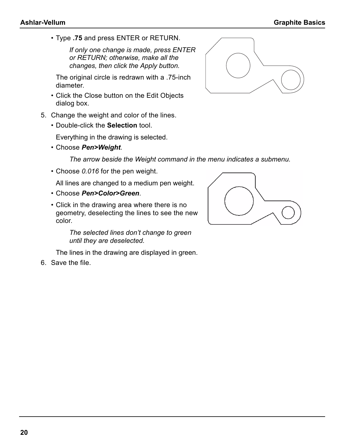• Type **.75** and press ENTER or RETURN.

*If only one change is made, press ENTER or RETURN; otherwise, make all the changes, then click the Apply button.*

The original circle is redrawn with a .75-inch diameter.

- Click the Close button on the Edit Objects dialog box.
- 5. Change the weight and color of the lines.
	- Double-click the **Selection** tool.

Everything in the drawing is selected.

• Choose *Pen>Weight*.

*The arrow beside the Weight command in the menu indicates a submenu.*

• Choose *0.016* for the pen weight.

All lines are changed to a medium pen weight.

- Choose *Pen>Color>Green*.
- Click in the drawing area where there is no geometry, deselecting the lines to see the new color.

*The selected lines don't change to green until they are deselected.*

The lines in the drawing are displayed in green.

6. Save the file.





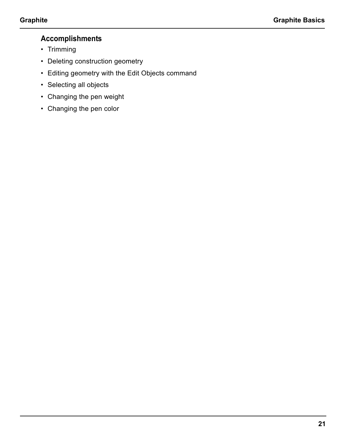- Trimming
- Deleting construction geometry
- Editing geometry with the Edit Objects command
- Selecting all objects
- Changing the pen weight
- Changing the pen color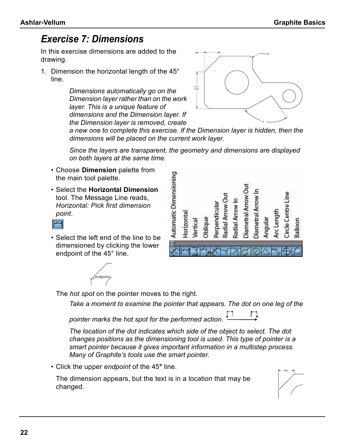# *Exercise 7: Dimensions*

In this exercise dimensions are added to the drawing.

1. Dimension the horizontal length of the 45° line.

> *Dimensions automatically go on the Dimension layer rather than on the work layer. This is a unique feature of dimensions and the Dimension layer. If the Dimension layer is removed, create*



*a new one to complete this exercise. If the Dimension layer is hidden, then the dimensions will be placed on the current work layer.*

*Since the layers are transparent, the geometry and dimensions are displayed on both layers at the same time.*

- Choose **Dimension** palette from the main tool palette.
- Select the **Horizontal Dimension** tool. The Message Line reads, *Horizontal: Pick first dimension point*.



 $\Box$ 



• Select the left end of the line to be dimensioned by clicking the lower endpoint of the 45° line.



The *hot spot* on the pointer moves to the right.

*Take a moment to examine the pointer that appears. The dot on one leg of the* 

*pointer marks the hot spot for the performed action.* 

*The location of the dot indicates which side of the object to select. The dot changes positions as the dimensioning tool is used. This type of pointer is a smart pointer because it gives important information in a multistep process. Many of Graphite's tools use the smart pointer.*

• Click the upper *endpoint* of the 45**°** line.

The dimension appears, but the text is in a location that may be changed.

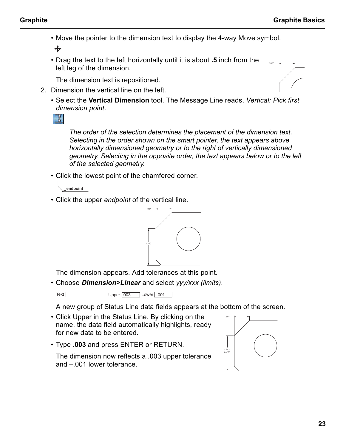2,800

• Move the pointer to the dimension text to display the 4-way Move symbol.

♣

• Drag the text to the left horizontally until it is about **.5** inch from the left leg of the dimension.

The dimension text is repositioned.

- 2. Dimension the vertical line on the left.
	- Select the **Vertical Dimension** tool. The Message Line reads, *Vertical: Pick first dimension point*.

ा

*The order of the selection determines the placement of the dimension text. Selecting in the order shown on the smart pointer, the text appears above horizontally dimensioned geometry or to the right of vertically dimensioned geometry. Selecting in the opposite order, the text appears below or to the left of the selected geometry.*

• Click the lowest point of the chamfered corner.

**endpoint**

• Click the upper *endpoint* of the vertical line.



The dimension appears. Add tolerances at this point.

• Choose *Dimension>Linear* and select *yyy/xxx (limits)*.

Text Upper .003 Lower -.001

A new group of Status Line data fields appears at the bottom of the screen.

- Click Upper in the Status Line. By clicking on the name, the data field automatically highlights, ready for new data to be entered.
- Type **.003** and press ENTER or RETURN.

The dimension now reflects a .003 upper tolerance and –.001 lower tolerance.

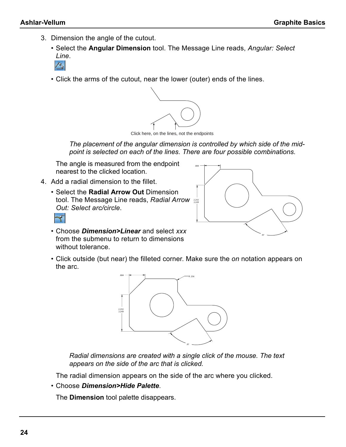- 3. Dimension the angle of the cutout.
	- Select the **Angular Dimension** tool. The Message Line reads, *Angular: Select Line*.
		- $\mathcal{P}_q$
	- Click the arms of the cutout, near the lower (outer) ends of the lines.



Click here, on the lines, not the endpoints

*The placement of the angular dimension is controlled by which side of the midpoint is selected on each of the lines. There are four possible combinations.*

The angle is measured from the endpoint nearest to the clicked location.

- 4. Add a radial dimension to the fillet.
	- Select the **Radial Arrow Out** Dimension tool. The Message Line reads, *Radial Arrow* 2253 *Out: Select arc/circle*.



- Choose *Dimension>Linear* and select *xxx* from the submenu to return to dimensions without tolerance.
- Click outside (but near) the filleted corner. Make sure the *on* notation appears on the arc.



*Radial dimensions are created with a single click of the mouse. The text appears on the side of the arc that is clicked.*

The radial dimension appears on the side of the arc where you clicked.

• Choose *Dimension>Hide Palette*.

The **Dimension** tool palette disappears.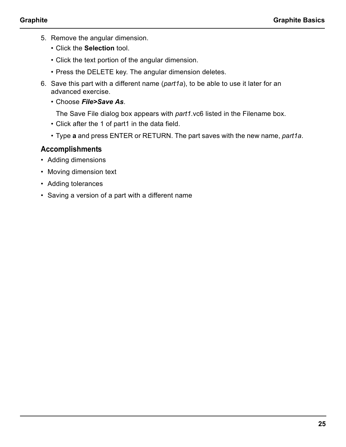- 5. Remove the angular dimension.
	- Click the **Selection** tool.
	- Click the text portion of the angular dimension.
	- Press the DELETE key. The angular dimension deletes.
- 6. Save this part with a different name (*part1a*), to be able to use it later for an advanced exercise.
	- Choose *File>Save As*.

The Save File dialog box appears with *part1*.vc6 listed in the Filename box.

- Click after the 1 of part1 in the data field.
- Type **a** and press ENTER or RETURN. The part saves with the new name, *part1a*.

- Adding dimensions
- Moving dimension text
- Adding tolerances
- Saving a version of a part with a different name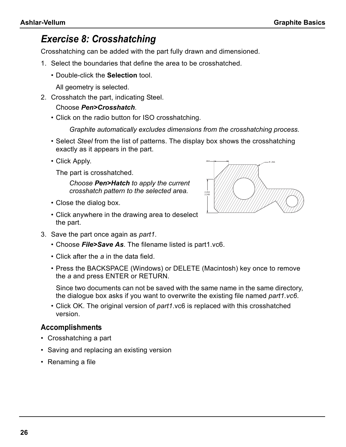# *Exercise 8: Crosshatching*

Crosshatching can be added with the part fully drawn and dimensioned.

- 1. Select the boundaries that define the area to be crosshatched.
	- Double-click the **Selection** tool.

All geometry is selected.

2. Crosshatch the part, indicating Steel.

#### Choose *Pen>Crosshatch*.

• Click on the radio button for ISO crosshatching.

*Graphite automatically excludes dimensions from the crosshatching process.*

- Select *Steel* from the list of patterns. The display box shows the crosshatching exactly as it appears in the part.
- Click Apply.

The part is crosshatched.

*Choose Pen>Hatch to apply the current crosshatch pattern to the selected area.*

- Close the dialog box.
- Click anywhere in the drawing area to deselect the part.



- Choose *File>Save As*. The filename listed is part1.vc6.
- Click after the *a* in the data field.
- Press the BACKSPACE (Windows) or DELETE (Macintosh) key once to remove the *a* and press ENTER or RETURN.

Since two documents can not be saved with the same name in the same directory, the dialogue box asks if you want to overwrite the existing file named *part1.vc6*.

• Click OK. The original version of *part1*.vc6 is replaced with this crosshatched version.

- Crosshatching a part
- Saving and replacing an existing version
- Renaming a file

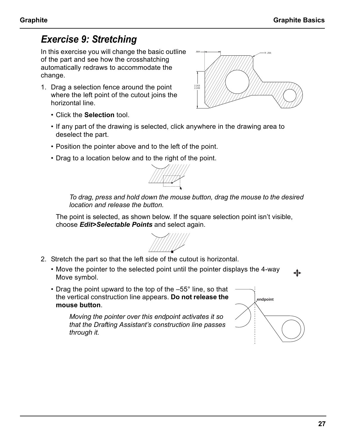# *Exercise 9: Stretching*

In this exercise you will change the basic outline of the part and see how the crosshatching automatically redraws to accommodate the change.

1. Drag a selection fence around the point where the left point of the cutout joins the horizontal line.



- Click the **Selection** tool.
- If any part of the drawing is selected, click anywhere in the drawing area to deselect the part.
- Position the pointer above and to the left of the point.
- Drag to a location below and to the right of the point.



*To drag, press and hold down the mouse button, drag the mouse to the desired location and release the button.*

The point is selected, as shown below. If the square selection point isn't visible, choose *Edit>Selectable Points* and select again.



- 2. Stretch the part so that the left side of the cutout is horizontal.
	- Move the pointer to the selected point until the pointer displays the 4-way Move symbol.
	- Drag the point upward to the top of the  $-55^{\circ}$  line, so that the vertical construction line appears. **Do not release the mouse button**.

*Moving the pointer over this endpoint activates it so that the Drafting Assistant's construction line passes through it.*

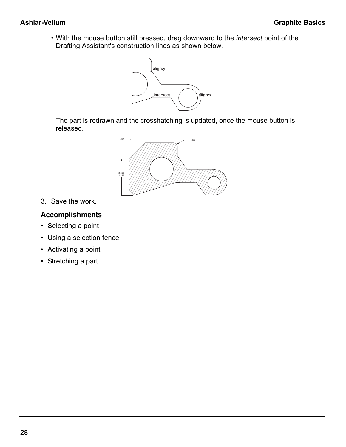• With the mouse button still pressed, drag downward to the *intersect* point of the Drafting Assistant's construction lines as shown below.



The part is redrawn and the crosshatching is updated, once the mouse button is released.



3. Save the work.

- Selecting a point
- Using a selection fence
- Activating a point
- Stretching a part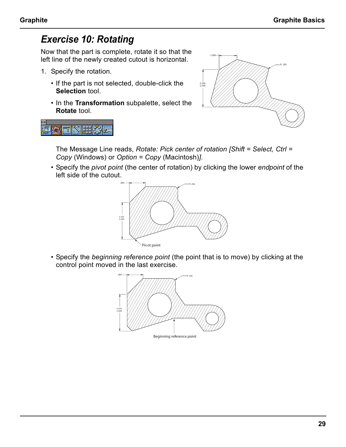# *Exercise 10: Rotating*

開路

Now that the part is complete, rotate it so that the left line of the newly created cutout is horizontal.

- 1. Specify the rotation.
	- If the part is not selected, double-click the **Selection** tool.
	- In the **Transformation** subpalette, select the **Rotate** tool.



The Message Line reads, *Rotate: Pick center of rotation [Shift = Select, Ctrl = Copy* (Windows) or *Option = Copy* (Macintosh)*]*.

• Specify the *pivot point* (the center of rotation) by clicking the lower *endpoint* of the left side of the cutout.



• Specify the *beginning reference point* (the point that is to move) by clicking at the control point moved in the last exercise.

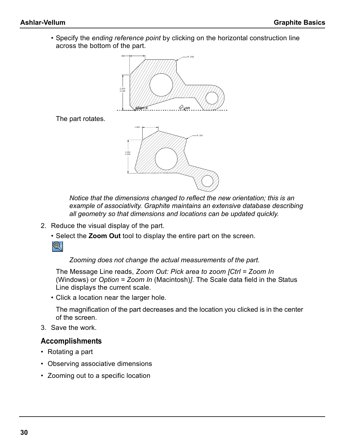• Specify the *ending reference point* by clicking on the horizontal construction line across the bottom of the part.



The part rotates.



*Notice that the dimensions changed to reflect the new orientation; this is an example of associativity. Graphite maintains an extensive database describing all geometry so that dimensions and locations can be updated quickly.*

- 2. Reduce the visual display of the part.
	- Select the **Zoom Out** tool to display the entire part on the screen.

 $\circledcirc$ 

*Zooming does not change the actual measurements of the part.*

The Message Line reads, *Zoom Out: Pick area to zoom [Ctrl = Zoom In* (Windows) or *Option = Zoom In* (Macintosh)*]*. The Scale data field in the Status Line displays the current scale.

• Click a location near the larger hole.

The magnification of the part decreases and the location you clicked is in the center of the screen.

3. Save the work.

- Rotating a part
- Observing associative dimensions
- Zooming out to a specific location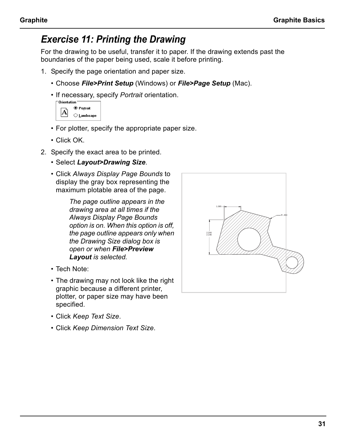# *Exercise 11: Printing the Drawing*

For the drawing to be useful, transfer it to paper. If the drawing extends past the boundaries of the paper being used, scale it before printing.

- 1. Specify the page orientation and paper size.
	- Choose *File>Print Setup* (Windows) or *File>Page Setup* (Mac).
	- If necessary, specify *Portrait* orientation.

| Urientation |             |  |  |  |  |  |
|-------------|-------------|--|--|--|--|--|
|             | ◉ Portrait  |  |  |  |  |  |
|             | ○ Landscape |  |  |  |  |  |
|             |             |  |  |  |  |  |

- For plotter, specify the appropriate paper size.
- Click OK.
- 2. Specify the exact area to be printed.
	- Select *Layout>Drawing Size*.
	- Click *Always Display Page Bounds* to display the gray box representing the maximum plotable area of the page.

*The page outline appears in the drawing area at all times if the Always Display Page Bounds option is on. When this option is off, the page outline appears only when the Drawing Size dialog box is open or when File>Preview Layout is selected.*

- Tech Note:
- The drawing may not look like the right graphic because a different printer, plotter, or paper size may have been specified.
- Click *Keep Text Size*.
- Click *Keep Dimension Text Size*.